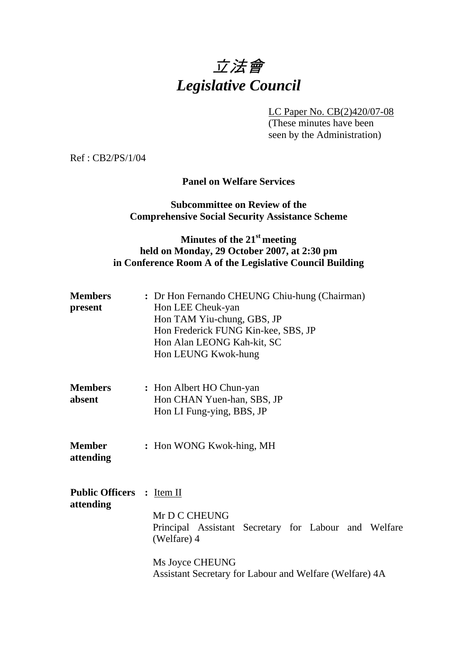# 立法會 *Legislative Council*

LC Paper No. CB(2)420/07-08

 (These minutes have been seen by the Administration)

Ref : CB2/PS/1/04

#### **Panel on Welfare Services**

### **Subcommittee on Review of the Comprehensive Social Security Assistance Scheme**

# **Minutes of the 21st meeting held on Monday, 29 October 2007, at 2:30 pm in Conference Room A of the Legislative Council Building**

| <b>Members</b><br>present              | : Dr Hon Fernando CHEUNG Chiu-hung (Chairman)<br>Hon LEE Cheuk-yan<br>Hon TAM Yiu-chung, GBS, JP<br>Hon Frederick FUNG Kin-kee, SBS, JP<br>Hon Alan LEONG Kah-kit, SC<br>Hon LEUNG Kwok-hung |  |  |
|----------------------------------------|----------------------------------------------------------------------------------------------------------------------------------------------------------------------------------------------|--|--|
| <b>Members</b><br>absent               | : Hon Albert HO Chun-yan<br>Hon CHAN Yuen-han, SBS, JP<br>Hon LI Fung-ying, BBS, JP                                                                                                          |  |  |
| Member<br>attending                    | : Hon WONG Kwok-hing, MH                                                                                                                                                                     |  |  |
| Public Officers : Item II<br>attending | Mr D C CHEUNG<br>Principal Assistant Secretary for Labour and Welfare<br>(Welfare) 4<br>Ms Joyce CHEUNG<br>Assistant Secretary for Labour and Welfare (Welfare) 4A                           |  |  |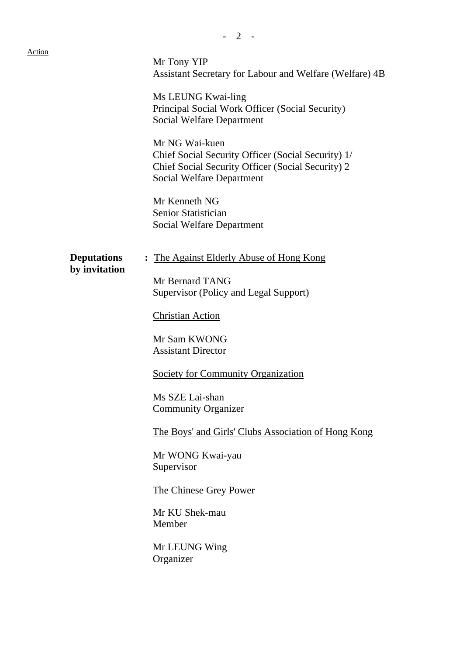| <b>Action</b> |                                     | Mr Tony YIP<br>Assistant Secretary for Labour and Welfare (Welfare) 4B<br>Ms LEUNG Kwai-ling<br>Principal Social Work Officer (Social Security)<br><b>Social Welfare Department</b><br>Mr NG Wai-kuen<br>Chief Social Security Officer (Social Security) 1/<br>Chief Social Security Officer (Social Security) 2<br><b>Social Welfare Department</b><br>Mr Kenneth NG<br>Senior Statistician<br><b>Social Welfare Department</b>                        |
|---------------|-------------------------------------|---------------------------------------------------------------------------------------------------------------------------------------------------------------------------------------------------------------------------------------------------------------------------------------------------------------------------------------------------------------------------------------------------------------------------------------------------------|
|               | <b>Deputations</b><br>by invitation | : The Against Elderly Abuse of Hong Kong<br>Mr Bernard TANG<br>Supervisor (Policy and Legal Support)<br><b>Christian Action</b><br>Mr Sam KWONG<br><b>Assistant Director</b><br><b>Society for Community Organization</b><br>Ms SZE Lai-shan<br><b>Community Organizer</b><br>The Boys' and Girls' Clubs Association of Hong Kong<br>Mr WONG Kwai-yau<br>Supervisor<br>The Chinese Grey Power<br>Mr KU Shek-mau<br>Member<br>Mr LEUNG Wing<br>Organizer |

- 2 -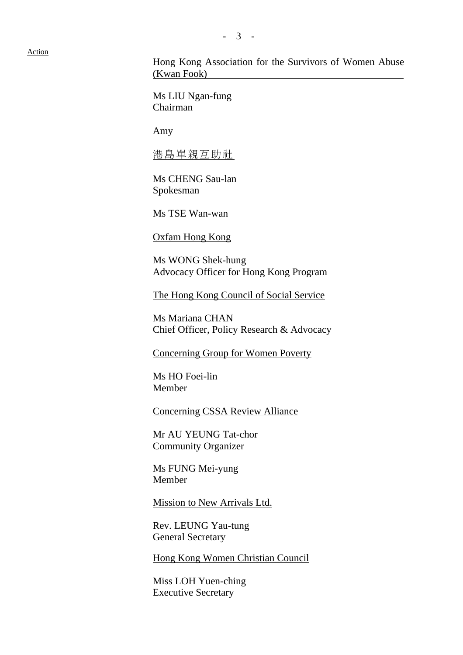Action

Hong Kong Association for the Survivors of Women Abuse (Kwan Fook)

Ms LIU Ngan-fung Chairman

Amy

港島單親互助社

Ms CHENG Sau-lan Spokesman

Ms TSE Wan-wan

Oxfam Hong Kong

Ms WONG Shek-hung Advocacy Officer for Hong Kong Program

The Hong Kong Council of Social Service

Ms Mariana CHAN Chief Officer, Policy Research & Advocacy

Concerning Group for Women Poverty

Ms HO Foei-lin Member

Concerning CSSA Review Alliance

Mr AU YEUNG Tat-chor Community Organizer

Ms FUNG Mei-yung Member

Mission to New Arrivals Ltd.

Rev. LEUNG Yau-tung General Secretary

Hong Kong Women Christian Council

Miss LOH Yuen-ching Executive Secretary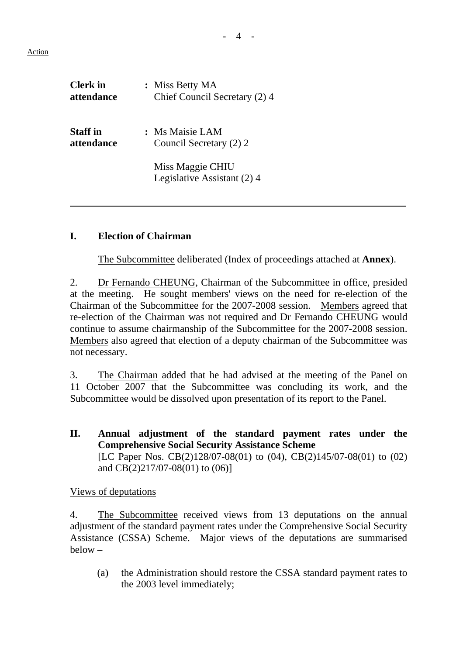- 4 -

| <b>Clerk</b> in | : Miss Betty MA                                 |
|-----------------|-------------------------------------------------|
| attendance      | Chief Council Secretary (2) 4                   |
| <b>Staff</b> in | : Ms Maisie LAM                                 |
| attendance      | Council Secretary (2) 2                         |
|                 | Miss Maggie CHIU<br>Legislative Assistant (2) 4 |

### **I. Election of Chairman**

1. The Subcommittee deliberated (Index of proceedings attached at **Annex**).

2. Dr Fernando CHEUNG, Chairman of the Subcommittee in office, presided at the meeting. He sought members' views on the need for re-election of the Chairman of the Subcommittee for the 2007-2008 session. Members agreed that re-election of the Chairman was not required and Dr Fernando CHEUNG would continue to assume chairmanship of the Subcommittee for the 2007-2008 session. Members also agreed that election of a deputy chairman of the Subcommittee was not necessary.

3. The Chairman added that he had advised at the meeting of the Panel on 11 October 2007 that the Subcommittee was concluding its work, and the Subcommittee would be dissolved upon presentation of its report to the Panel.

**II. Annual adjustment of the standard payment rates under the Comprehensive Social Security Assistance Scheme**  [LC Paper Nos. CB(2)128/07-08(01) to (04), CB(2)145/07-08(01) to (02) and CB(2)217/07-08(01) to (06)]

#### Views of deputations

4. The Subcommittee received views from 13 deputations on the annual adjustment of the standard payment rates under the Comprehensive Social Security Assistance (CSSA) Scheme. Major views of the deputations are summarised below –

(a) the Administration should restore the CSSA standard payment rates to the 2003 level immediately;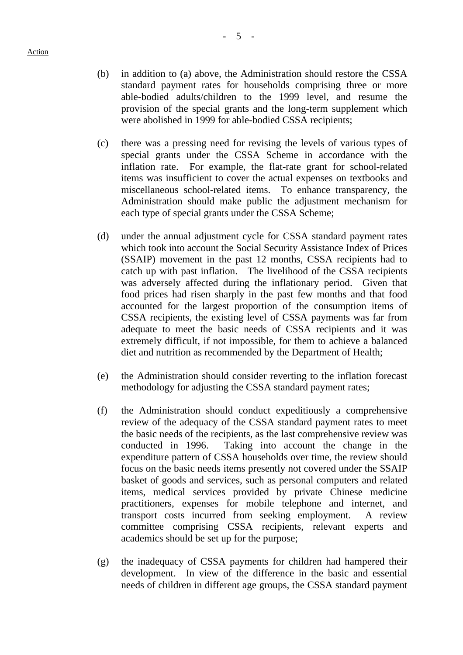- (b) in addition to (a) above, the Administration should restore the CSSA
- standard payment rates for households comprising three or more able-bodied adults/children to the 1999 level, and resume the provision of the special grants and the long-term supplement which were abolished in 1999 for able-bodied CSSA recipients;
- (c) there was a pressing need for revising the levels of various types of special grants under the CSSA Scheme in accordance with the inflation rate. For example, the flat-rate grant for school-related items was insufficient to cover the actual expenses on textbooks and miscellaneous school-related items. To enhance transparency, the Administration should make public the adjustment mechanism for each type of special grants under the CSSA Scheme;
- (d) under the annual adjustment cycle for CSSA standard payment rates which took into account the Social Security Assistance Index of Prices (SSAIP) movement in the past 12 months, CSSA recipients had to catch up with past inflation. The livelihood of the CSSA recipients was adversely affected during the inflationary period. Given that food prices had risen sharply in the past few months and that food accounted for the largest proportion of the consumption items of CSSA recipients, the existing level of CSSA payments was far from adequate to meet the basic needs of CSSA recipients and it was extremely difficult, if not impossible, for them to achieve a balanced diet and nutrition as recommended by the Department of Health;
- (e) the Administration should consider reverting to the inflation forecast methodology for adjusting the CSSA standard payment rates;
- (f) the Administration should conduct expeditiously a comprehensive review of the adequacy of the CSSA standard payment rates to meet the basic needs of the recipients, as the last comprehensive review was conducted in 1996. Taking into account the change in the expenditure pattern of CSSA households over time, the review should focus on the basic needs items presently not covered under the SSAIP basket of goods and services, such as personal computers and related items, medical services provided by private Chinese medicine practitioners, expenses for mobile telephone and internet, and transport costs incurred from seeking employment. A review committee comprising CSSA recipients, relevant experts and academics should be set up for the purpose;
- (g) the inadequacy of CSSA payments for children had hampered their development. In view of the difference in the basic and essential needs of children in different age groups, the CSSA standard payment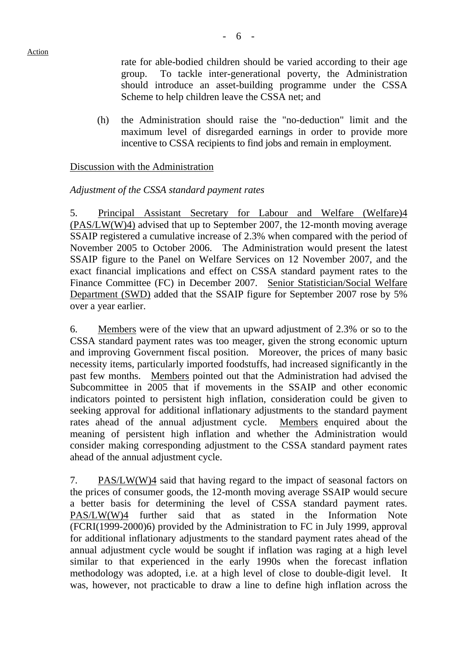rate for able-bodied children should be varied according to their age group. To tackle inter-generational poverty, the Administration should introduce an asset-building programme under the CSSA Scheme to help children leave the CSSA net; and

(h) the Administration should raise the "no-deduction" limit and the maximum level of disregarded earnings in order to provide more incentive to CSSA recipients to find jobs and remain in employment.

### Discussion with the Administration

### *Adjustment of the CSSA standard payment rates*

5. Principal Assistant Secretary for Labour and Welfare (Welfare)4 (PAS/LW(W)4) advised that up to September 2007, the 12-month moving average SSAIP registered a cumulative increase of 2.3% when compared with the period of November 2005 to October 2006. The Administration would present the latest SSAIP figure to the Panel on Welfare Services on 12 November 2007, and the exact financial implications and effect on CSSA standard payment rates to the Finance Committee (FC) in December 2007. Senior Statistician/Social Welfare Department (SWD) added that the SSAIP figure for September 2007 rose by 5% over a year earlier.

6. Members were of the view that an upward adjustment of 2.3% or so to the CSSA standard payment rates was too meager, given the strong economic upturn and improving Government fiscal position. Moreover, the prices of many basic necessity items, particularly imported foodstuffs, had increased significantly in the past few months. Members pointed out that the Administration had advised the Subcommittee in 2005 that if movements in the SSAIP and other economic indicators pointed to persistent high inflation, consideration could be given to seeking approval for additional inflationary adjustments to the standard payment rates ahead of the annual adjustment cycle. Members enquired about the meaning of persistent high inflation and whether the Administration would consider making corresponding adjustment to the CSSA standard payment rates ahead of the annual adjustment cycle.

7. PAS/LW(W)4 said that having regard to the impact of seasonal factors on the prices of consumer goods, the 12-month moving average SSAIP would secure a better basis for determining the level of CSSA standard payment rates. PAS/LW(W)4 further said that as stated in the Information Note (FCRI(1999-2000)6) provided by the Administration to FC in July 1999, approval for additional inflationary adjustments to the standard payment rates ahead of the annual adjustment cycle would be sought if inflation was raging at a high level similar to that experienced in the early 1990s when the forecast inflation methodology was adopted, i.e. at a high level of close to double-digit level. It was, however, not practicable to draw a line to define high inflation across the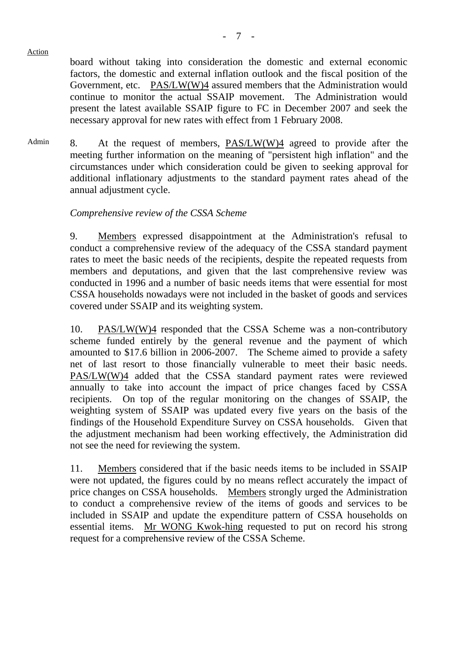Action

board without taking into consideration the domestic and external economic factors, the domestic and external inflation outlook and the fiscal position of the Government, etc. PAS/LW(W)4 assured members that the Administration would continue to monitor the actual SSAIP movement. The Administration would present the latest available SSAIP figure to FC in December 2007 and seek the necessary approval for new rates with effect from 1 February 2008.

Admin 8. At the request of members, PAS/LW(W)4 agreed to provide after the meeting further information on the meaning of "persistent high inflation" and the circumstances under which consideration could be given to seeking approval for additional inflationary adjustments to the standard payment rates ahead of the annual adjustment cycle.

## *Comprehensive review of the CSSA Scheme*

9. Members expressed disappointment at the Administration's refusal to conduct a comprehensive review of the adequacy of the CSSA standard payment rates to meet the basic needs of the recipients, despite the repeated requests from members and deputations, and given that the last comprehensive review was conducted in 1996 and a number of basic needs items that were essential for most CSSA households nowadays were not included in the basket of goods and services covered under SSAIP and its weighting system.

10. PAS/LW(W)4 responded that the CSSA Scheme was a non-contributory scheme funded entirely by the general revenue and the payment of which amounted to \$17.6 billion in 2006-2007. The Scheme aimed to provide a safety net of last resort to those financially vulnerable to meet their basic needs. PAS/LW(W)4 added that the CSSA standard payment rates were reviewed annually to take into account the impact of price changes faced by CSSA recipients. On top of the regular monitoring on the changes of SSAIP, the weighting system of SSAIP was updated every five years on the basis of the findings of the Household Expenditure Survey on CSSA households. Given that the adjustment mechanism had been working effectively, the Administration did not see the need for reviewing the system.

11. Members considered that if the basic needs items to be included in SSAIP were not updated, the figures could by no means reflect accurately the impact of price changes on CSSA households. Members strongly urged the Administration to conduct a comprehensive review of the items of goods and services to be included in SSAIP and update the expenditure pattern of CSSA households on essential items. Mr WONG Kwok-hing requested to put on record his strong request for a comprehensive review of the CSSA Scheme.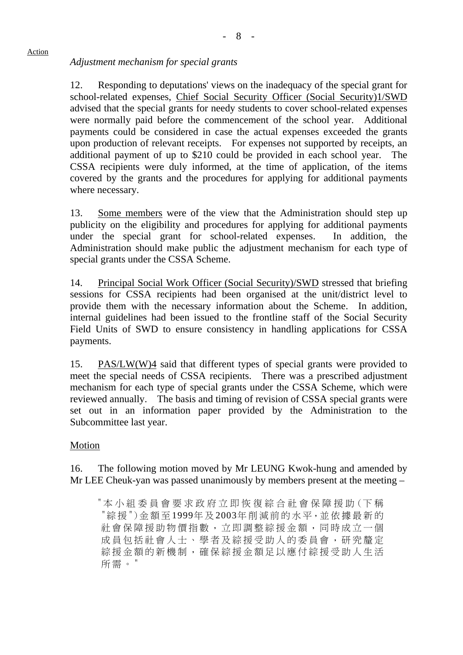# *Adjustment mechanism for special grants*

12. Responding to deputations' views on the inadequacy of the special grant for school-related expenses, Chief Social Security Officer (Social Security)1/SWD advised that the special grants for needy students to cover school-related expenses were normally paid before the commencement of the school year. Additional payments could be considered in case the actual expenses exceeded the grants upon production of relevant receipts. For expenses not supported by receipts, an additional payment of up to \$210 could be provided in each school year. The CSSA recipients were duly informed, at the time of application, of the items covered by the grants and the procedures for applying for additional payments where necessary.

13. Some members were of the view that the Administration should step up publicity on the eligibility and procedures for applying for additional payments under the special grant for school-related expenses. In addition, the Administration should make public the adjustment mechanism for each type of special grants under the CSSA Scheme.

14. Principal Social Work Officer (Social Security)/SWD stressed that briefing sessions for CSSA recipients had been organised at the unit/district level to provide them with the necessary information about the Scheme. In addition, internal guidelines had been issued to the frontline staff of the Social Security Field Units of SWD to ensure consistency in handling applications for CSSA payments.

15. PAS/LW(W)4 said that different types of special grants were provided to meet the special needs of CSSA recipients. There was a prescribed adjustment mechanism for each type of special grants under the CSSA Scheme, which were reviewed annually. The basis and timing of revision of CSSA special grants were set out in an information paper provided by the Administration to the Subcommittee last year.

### Motion

16. The following motion moved by Mr LEUNG Kwok-hung and amended by Mr LEE Cheuk-yan was passed unanimously by members present at the meeting –

"本小組委員會要求政府立即恢復綜合社會保障援助(下稱 "綜援")金額至 1999年及 2003年削減前的水平,並 依據最新的 社會保障援助物價指數,立即調整綜援金額,同時成立一個 成員包括社會人士、學者及綜援受助人的委員會,研究釐定 綜援金額的新機制,確保綜援金額足以應付綜援受助人生活 所需。"

#### Action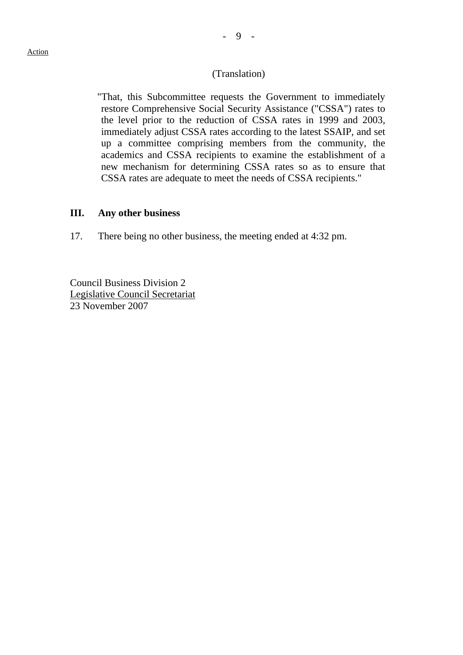#### (Translation)

"That, this Subcommittee requests the Government to immediately restore Comprehensive Social Security Assistance ("CSSA") rates to the level prior to the reduction of CSSA rates in 1999 and 2003, immediately adjust CSSA rates according to the latest SSAIP, and set up a committee comprising members from the community, the academics and CSSA recipients to examine the establishment of a new mechanism for determining CSSA rates so as to ensure that CSSA rates are adequate to meet the needs of CSSA recipients."

#### **III. Any other business**

17. There being no other business, the meeting ended at 4:32 pm.

Council Business Division 2 Legislative Council Secretariat 23 November 2007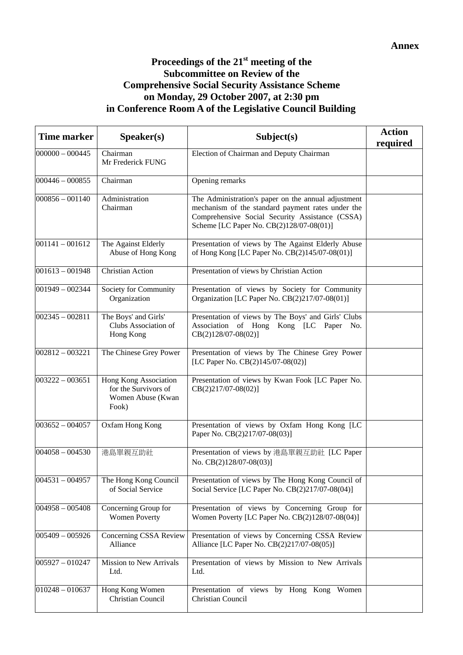## **Proceedings of the 21st meeting of the Subcommittee on Review of the Comprehensive Social Security Assistance Scheme on Monday, 29 October 2007, at 2:30 pm in Conference Room A of the Legislative Council Building**

| <b>Time marker</b> | Speaker(s)                                                                  | Subject(s)                                                                                                                                                                                              | <b>Action</b><br>required |
|--------------------|-----------------------------------------------------------------------------|---------------------------------------------------------------------------------------------------------------------------------------------------------------------------------------------------------|---------------------------|
| $000000 - 000445$  | Chairman<br>Mr Frederick FUNG                                               | Election of Chairman and Deputy Chairman                                                                                                                                                                |                           |
| $000446 - 000855$  | Chairman                                                                    | Opening remarks                                                                                                                                                                                         |                           |
| $000856 - 001140$  | Administration<br>Chairman                                                  | The Administration's paper on the annual adjustment<br>mechanism of the standard payment rates under the<br>Comprehensive Social Security Assistance (CSSA)<br>Scheme [LC Paper No. CB(2)128/07-08(01)] |                           |
| $001141 - 001612$  | The Against Elderly<br>Abuse of Hong Kong                                   | Presentation of views by The Against Elderly Abuse<br>of Hong Kong [LC Paper No. CB(2)145/07-08(01)]                                                                                                    |                           |
| $001613 - 001948$  | <b>Christian Action</b>                                                     | Presentation of views by Christian Action                                                                                                                                                               |                           |
| $001949 - 002344$  | Society for Community<br>Organization                                       | Presentation of views by Society for Community<br>Organization [LC Paper No. CB(2)217/07-08(01)]                                                                                                        |                           |
| $002345 - 002811$  | The Boys' and Girls'<br>Clubs Association of<br>Hong Kong                   | Presentation of views by The Boys' and Girls' Clubs<br>Association of Hong Kong [LC Paper No.<br>CB(2)128/07-08(02)]                                                                                    |                           |
| $002812 - 003221$  | The Chinese Grey Power                                                      | Presentation of views by The Chinese Grey Power<br>[LC Paper No. CB(2)145/07-08(02)]                                                                                                                    |                           |
| $003222 - 003651$  | Hong Kong Association<br>for the Survivors of<br>Women Abuse (Kwan<br>Fook) | Presentation of views by Kwan Fook [LC Paper No.<br>$CB(2)217/07-08(02)]$                                                                                                                               |                           |
| $003652 - 004057$  | Oxfam Hong Kong                                                             | Presentation of views by Oxfam Hong Kong [LC<br>Paper No. CB(2)217/07-08(03)]                                                                                                                           |                           |
| $004058 - 004530$  | 港島單親互助社                                                                     | Presentation of views by 港島單親互助社 [LC Paper<br>No. CB(2)128/07-08(03)]                                                                                                                                   |                           |
| $004531 - 004957$  | The Hong Kong Council<br>of Social Service                                  | Presentation of views by The Hong Kong Council of<br>Social Service [LC Paper No. CB(2)217/07-08(04)]                                                                                                   |                           |
| $004958 - 005408$  | Concerning Group for<br><b>Women Poverty</b>                                | Presentation of views by Concerning Group for<br>Women Poverty [LC Paper No. CB(2)128/07-08(04)]                                                                                                        |                           |
| $005409 - 005926$  | Concerning CSSA Review<br>Alliance                                          | Presentation of views by Concerning CSSA Review<br>Alliance [LC Paper No. CB(2)217/07-08(05)]                                                                                                           |                           |
| $005927 - 010247$  | <b>Mission to New Arrivals</b><br>Ltd.                                      | Presentation of views by Mission to New Arrivals<br>Ltd.                                                                                                                                                |                           |
| $010248 - 010637$  | Hong Kong Women<br>Christian Council                                        | Presentation of views by Hong Kong Women<br>Christian Council                                                                                                                                           |                           |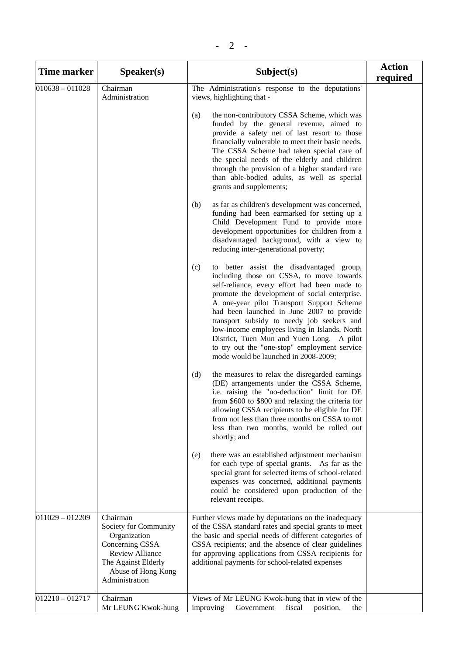| <b>Time marker</b> | S <sub>p</sub> e <sub>aker(s)</sub>                                                                                                                           | Subject(s)                                                                                                                                                                                                                                                                                                                                                                                                                                                                                                                  | <b>Action</b><br>required |
|--------------------|---------------------------------------------------------------------------------------------------------------------------------------------------------------|-----------------------------------------------------------------------------------------------------------------------------------------------------------------------------------------------------------------------------------------------------------------------------------------------------------------------------------------------------------------------------------------------------------------------------------------------------------------------------------------------------------------------------|---------------------------|
| $010638 - 011028$  | Chairman<br>Administration                                                                                                                                    | The Administration's response to the deputations'<br>views, highlighting that -                                                                                                                                                                                                                                                                                                                                                                                                                                             |                           |
|                    |                                                                                                                                                               | the non-contributory CSSA Scheme, which was<br>(a)<br>funded by the general revenue, aimed to<br>provide a safety net of last resort to those<br>financially vulnerable to meet their basic needs.<br>The CSSA Scheme had taken special care of<br>the special needs of the elderly and children<br>through the provision of a higher standard rate<br>than able-bodied adults, as well as special<br>grants and supplements;                                                                                               |                           |
|                    |                                                                                                                                                               | as far as children's development was concerned,<br>(b)<br>funding had been earmarked for setting up a<br>Child Development Fund to provide more<br>development opportunities for children from a<br>disadvantaged background, with a view to<br>reducing inter-generational poverty;                                                                                                                                                                                                                                        |                           |
|                    |                                                                                                                                                               | (c)<br>to better assist the disadvantaged group,<br>including those on CSSA, to move towards<br>self-reliance, every effort had been made to<br>promote the development of social enterprise.<br>A one-year pilot Transport Support Scheme<br>had been launched in June 2007 to provide<br>transport subsidy to needy job seekers and<br>low-income employees living in Islands, North<br>District, Tuen Mun and Yuen Long. A pilot<br>to try out the "one-stop" employment service<br>mode would be launched in 2008-2009; |                           |
|                    |                                                                                                                                                               | (d)<br>the measures to relax the disregarded earnings<br>(DE) arrangements under the CSSA Scheme,<br>i.e. raising the "no-deduction" limit for DE<br>from \$600 to \$800 and relaxing the criteria for<br>allowing CSSA recipients to be eligible for DE<br>from not less than three months on CSSA to not<br>less than two months, would be rolled out<br>shortly; and                                                                                                                                                     |                           |
|                    |                                                                                                                                                               | there was an established adjustment mechanism<br>(e)<br>for each type of special grants. As far as the<br>special grant for selected items of school-related<br>expenses was concerned, additional payments<br>could be considered upon production of the<br>relevant receipts.                                                                                                                                                                                                                                             |                           |
| $011029 - 012209$  | Chairman<br>Society for Community<br>Organization<br>Concerning CSSA<br><b>Review Alliance</b><br>The Against Elderly<br>Abuse of Hong Kong<br>Administration | Further views made by deputations on the inadequacy<br>of the CSSA standard rates and special grants to meet<br>the basic and special needs of different categories of<br>CSSA recipients; and the absence of clear guidelines<br>for approving applications from CSSA recipients for<br>additional payments for school-related expenses                                                                                                                                                                                    |                           |
| $012210 - 012717$  | Chairman<br>Mr LEUNG Kwok-hung                                                                                                                                | Views of Mr LEUNG Kwok-hung that in view of the<br>improving<br>Government<br>fiscal<br>position,<br>the                                                                                                                                                                                                                                                                                                                                                                                                                    |                           |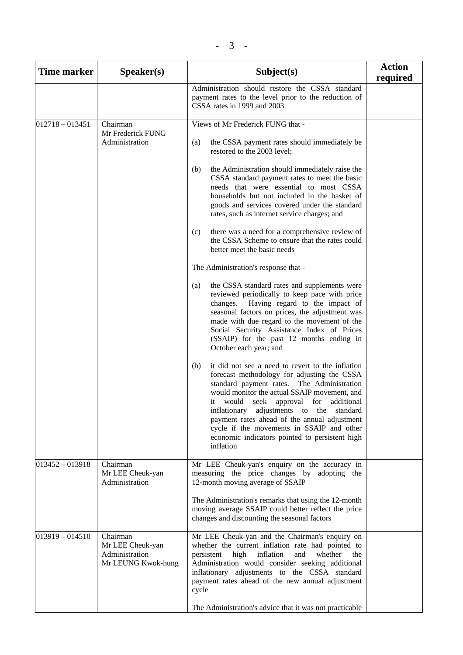| <b>Time marker</b> | S <b>peaker(s)</b>                                                   | Subject(s)                                                                                                                                                                                                                                                                                                                                                                                                                                            | <b>Action</b><br>required |
|--------------------|----------------------------------------------------------------------|-------------------------------------------------------------------------------------------------------------------------------------------------------------------------------------------------------------------------------------------------------------------------------------------------------------------------------------------------------------------------------------------------------------------------------------------------------|---------------------------|
|                    |                                                                      | Administration should restore the CSSA standard<br>payment rates to the level prior to the reduction of<br>CSSA rates in 1999 and 2003                                                                                                                                                                                                                                                                                                                |                           |
| $012718 - 013451$  | Chairman                                                             | Views of Mr Frederick FUNG that -                                                                                                                                                                                                                                                                                                                                                                                                                     |                           |
|                    | Mr Frederick FUNG<br>Administration                                  | the CSSA payment rates should immediately be<br>(a)<br>restored to the 2003 level;                                                                                                                                                                                                                                                                                                                                                                    |                           |
|                    |                                                                      | the Administration should immediately raise the<br>(b)<br>CSSA standard payment rates to meet the basic<br>needs that were essential to most CSSA<br>households but not included in the basket of<br>goods and services covered under the standard<br>rates, such as internet service charges; and                                                                                                                                                    |                           |
|                    |                                                                      | there was a need for a comprehensive review of<br>(c)<br>the CSSA Scheme to ensure that the rates could<br>better meet the basic needs                                                                                                                                                                                                                                                                                                                |                           |
|                    |                                                                      | The Administration's response that -                                                                                                                                                                                                                                                                                                                                                                                                                  |                           |
|                    |                                                                      | the CSSA standard rates and supplements were<br>(a)<br>reviewed periodically to keep pace with price<br>changes. Having regard to the impact of<br>seasonal factors on prices, the adjustment was<br>made with due regard to the movement of the<br>Social Security Assistance Index of Prices<br>(SSAIP) for the past 12 months ending in<br>October each year; and                                                                                  |                           |
|                    |                                                                      | (b)<br>it did not see a need to revert to the inflation<br>forecast methodology for adjusting the CSSA<br>standard payment rates. The Administration<br>would monitor the actual SSAIP movement, and<br>it would seek approval for additional<br>inflationary adjustments to the standard<br>payment rates ahead of the annual adjustment<br>cycle if the movements in SSAIP and other<br>economic indicators pointed to persistent high<br>inflation |                           |
| $013452 - 013918$  | Chairman<br>Mr LEE Cheuk-yan<br>Administration                       | Mr LEE Cheuk-yan's enquiry on the accuracy in<br>measuring the price changes by adopting the<br>12-month moving average of SSAIP                                                                                                                                                                                                                                                                                                                      |                           |
|                    |                                                                      | The Administration's remarks that using the 12-month<br>moving average SSAIP could better reflect the price<br>changes and discounting the seasonal factors                                                                                                                                                                                                                                                                                           |                           |
| $013919 - 014510$  | Chairman<br>Mr LEE Cheuk-yan<br>Administration<br>Mr LEUNG Kwok-hung | Mr LEE Cheuk-yan and the Chairman's enquiry on<br>whether the current inflation rate had pointed to<br>persistent<br>inflation<br>whether<br>high<br>and<br>the<br>Administration would consider seeking additional<br>inflationary adjustments to the CSSA standard<br>payment rates ahead of the new annual adjustment<br>cycle<br>The Administration's advice that it was not practicable                                                          |                           |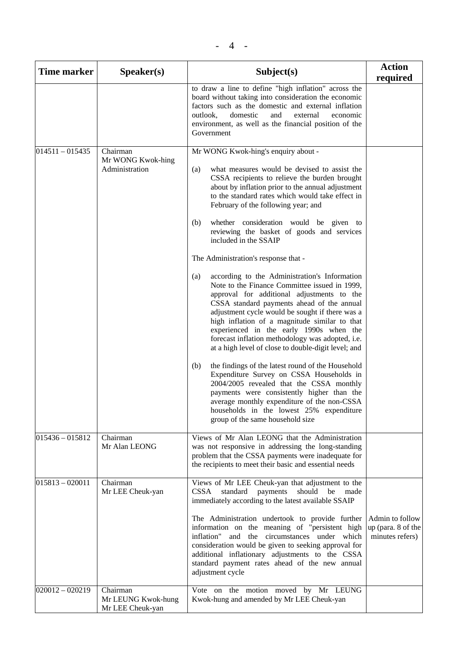| <b>Time marker</b> | S <b>peaker(s)</b>                                 | Subject(s)                                                                                                                                                                                                                                                                                                                                                                                                                                                                                                                                                                                                                                                                                                                                                                                                                                                                                                                                                                                                                                                                                                                                                                                                                                                   | <b>Action</b><br>required                                |
|--------------------|----------------------------------------------------|--------------------------------------------------------------------------------------------------------------------------------------------------------------------------------------------------------------------------------------------------------------------------------------------------------------------------------------------------------------------------------------------------------------------------------------------------------------------------------------------------------------------------------------------------------------------------------------------------------------------------------------------------------------------------------------------------------------------------------------------------------------------------------------------------------------------------------------------------------------------------------------------------------------------------------------------------------------------------------------------------------------------------------------------------------------------------------------------------------------------------------------------------------------------------------------------------------------------------------------------------------------|----------------------------------------------------------|
|                    |                                                    | to draw a line to define "high inflation" across the<br>board without taking into consideration the economic<br>factors such as the domestic and external inflation<br>outlook,<br>domestic<br>and<br>external<br>economic<br>environment, as well as the financial position of the<br>Government                                                                                                                                                                                                                                                                                                                                                                                                                                                                                                                                                                                                                                                                                                                                                                                                                                                                                                                                                            |                                                          |
| $ 014511 - 015435$ | Chairman<br>Mr WONG Kwok-hing<br>Administration    | Mr WONG Kwok-hing's enquiry about -<br>what measures would be devised to assist the<br>(a)<br>CSSA recipients to relieve the burden brought<br>about by inflation prior to the annual adjustment<br>to the standard rates which would take effect in<br>February of the following year; and<br>whether consideration would be given to<br>(b)<br>reviewing the basket of goods and services<br>included in the SSAIP<br>The Administration's response that -<br>according to the Administration's Information<br>(a)<br>Note to the Finance Committee issued in 1999,<br>approval for additional adjustments to the<br>CSSA standard payments ahead of the annual<br>adjustment cycle would be sought if there was a<br>high inflation of a magnitude similar to that<br>experienced in the early 1990s when the<br>forecast inflation methodology was adopted, i.e.<br>at a high level of close to double-digit level; and<br>the findings of the latest round of the Household<br>(b)<br>Expenditure Survey on CSSA Households in<br>2004/2005 revealed that the CSSA monthly<br>payments were consistently higher than the<br>average monthly expenditure of the non-CSSA<br>households in the lowest 25% expenditure<br>group of the same household size |                                                          |
| $015436 - 015812$  | Chairman<br>Mr Alan LEONG                          | Views of Mr Alan LEONG that the Administration<br>was not responsive in addressing the long-standing<br>problem that the CSSA payments were inadequate for<br>the recipients to meet their basic and essential needs                                                                                                                                                                                                                                                                                                                                                                                                                                                                                                                                                                                                                                                                                                                                                                                                                                                                                                                                                                                                                                         |                                                          |
| $015813 - 020011$  | Chairman<br>Mr LEE Cheuk-yan                       | Views of Mr LEE Cheuk-yan that adjustment to the<br>should<br>CSSA<br>standard payments<br>be<br>made<br>immediately according to the latest available SSAIP<br>The Administration undertook to provide further<br>information on the meaning of "persistent high<br>inflation" and the circumstances under which<br>consideration would be given to seeking approval for<br>additional inflationary adjustments to the CSSA<br>standard payment rates ahead of the new annual<br>adjustment cycle                                                                                                                                                                                                                                                                                                                                                                                                                                                                                                                                                                                                                                                                                                                                                           | Admin to follow<br>up (para. 8 of the<br>minutes refers) |
| $020012 - 020219$  | Chairman<br>Mr LEUNG Kwok-hung<br>Mr LEE Cheuk-yan | Vote on the motion moved by Mr LEUNG<br>Kwok-hung and amended by Mr LEE Cheuk-yan                                                                                                                                                                                                                                                                                                                                                                                                                                                                                                                                                                                                                                                                                                                                                                                                                                                                                                                                                                                                                                                                                                                                                                            |                                                          |